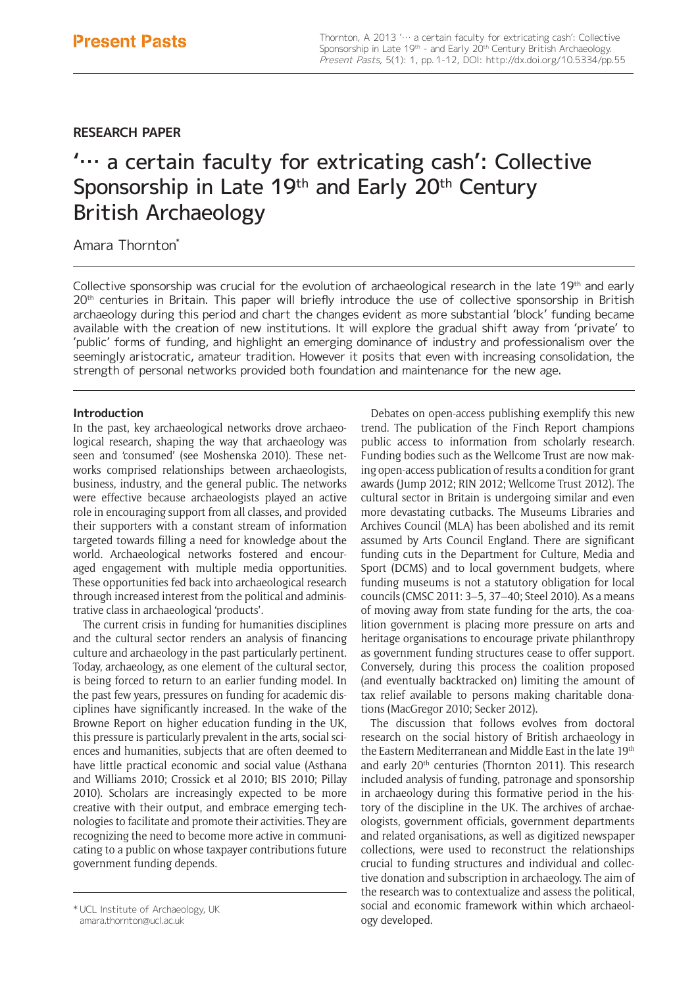# **RESEARCH PAPER**

# '… a certain faculty for extricating cash': Collective Sponsorship in Late 19<sup>th</sup> and Early 20<sup>th</sup> Century British Archaeology

# Amara Thornton\*

Collective sponsorship was crucial for the evolution of archaeological research in the late 19th and early 20<sup>th</sup> centuries in Britain. This paper will briefly introduce the use of collective sponsorship in British archaeology during this period and chart the changes evident as more substantial 'block' funding became available with the creation of new institutions. It will explore the gradual shift away from 'private' to 'public' forms of funding, and highlight an emerging dominance of industry and professionalism over the seemingly aristocratic, amateur tradition. However it posits that even with increasing consolidation, the strength of personal networks provided both foundation and maintenance for the new age.

## **Introduction**

In the past, key archaeological networks drove archaeological research, shaping the way that archaeology was seen and 'consumed' (see Moshenska 2010). These networks comprised relationships between archaeologists, business, industry, and the general public. The networks were effective because archaeologists played an active role in encouraging support from all classes, and provided their supporters with a constant stream of information targeted towards filling a need for knowledge about the world. Archaeological networks fostered and encouraged engagement with multiple media opportunities. These opportunities fed back into archaeological research through increased interest from the political and administrative class in archaeological 'products'.

The current crisis in funding for humanities disciplines and the cultural sector renders an analysis of financing culture and archaeology in the past particularly pertinent. Today, archaeology, as one element of the cultural sector, is being forced to return to an earlier funding model. In the past few years, pressures on funding for academic disciplines have significantly increased. In the wake of the Browne Report on higher education funding in the UK, this pressure is particularly prevalent in the arts, social sciences and humanities, subjects that are often deemed to have little practical economic and social value (Asthana and Williams 2010; Crossick et al 2010; BIS 2010; Pillay 2010). Scholars are increasingly expected to be more creative with their output, and embrace emerging technologies to facilitate and promote their activities. They are recognizing the need to become more active in communicating to a public on whose taxpayer contributions future government funding depends.

Debates on open-access publishing exemplify this new trend. The publication of the Finch Report champions public access to information from scholarly research. Funding bodies such as the Wellcome Trust are now making open-access publication of results a condition for grant awards (Jump 2012; RIN 2012; Wellcome Trust 2012). The cultural sector in Britain is undergoing similar and even more devastating cutbacks. The Museums Libraries and Archives Council (MLA) has been abolished and its remit assumed by Arts Council England. There are significant funding cuts in the Department for Culture, Media and Sport (DCMS) and to local government budgets, where funding museums is not a statutory obligation for local councils (CMSC 2011: 3–5, 37–40; Steel 2010). As a means of moving away from state funding for the arts, the coalition government is placing more pressure on arts and heritage organisations to encourage private philanthropy as government funding structures cease to offer support. Conversely, during this process the coalition proposed (and eventually backtracked on) limiting the amount of tax relief available to persons making charitable donations (MacGregor 2010; Secker 2012).

The discussion that follows evolves from doctoral research on the social history of British archaeology in the Eastern Mediterranean and Middle East in the late 19th and early 20<sup>th</sup> centuries (Thornton 2011). This research included analysis of funding, patronage and sponsorship in archaeology during this formative period in the history of the discipline in the UK. The archives of archaeologists, government officials, government departments and related organisations, as well as digitized newspaper collections, were used to reconstruct the relationships crucial to funding structures and individual and collective donation and subscription in archaeology. The aim of the research was to contextualize and assess the political, social and economic framework within which archaeol-

vol institute of Archaeology, UK and the social and econ and the social and econ and the social and econ and t<br>anara.thornton@ucl.ac.uk amara.thornton@ucl.ac.uk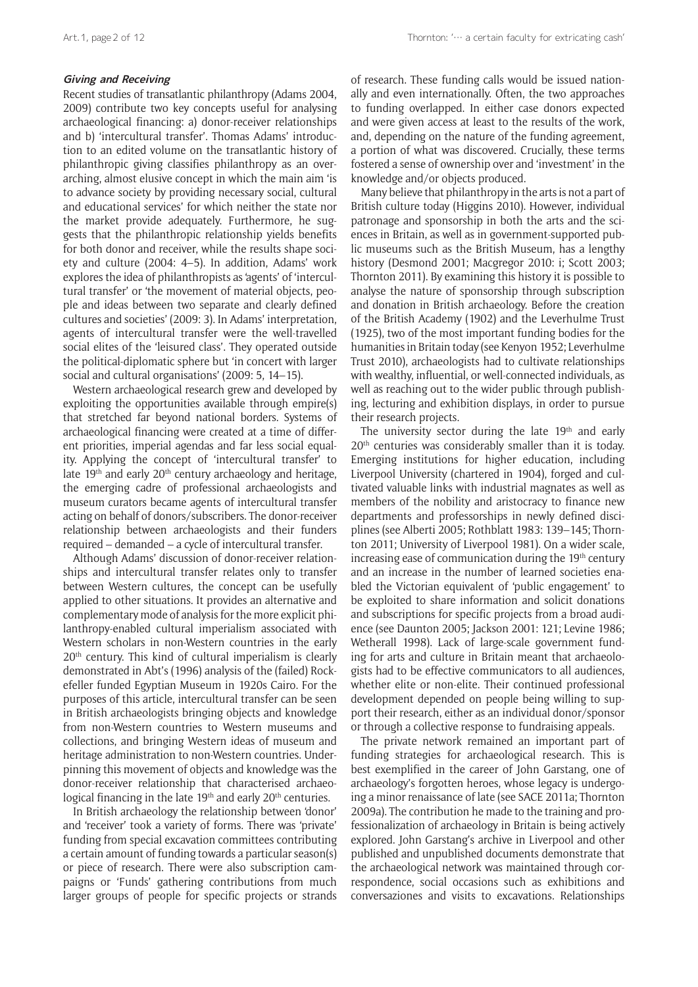#### **Giving and Receiving**

Recent studies of transatlantic philanthropy (Adams 2004, 2009) contribute two key concepts useful for analysing archaeological financing: a) donor-receiver relationships and b) 'intercultural transfer'. Thomas Adams' introduction to an edited volume on the transatlantic history of philanthropic giving classifies philanthropy as an overarching, almost elusive concept in which the main aim 'is to advance society by providing necessary social, cultural and educational services' for which neither the state nor the market provide adequately. Furthermore, he suggests that the philanthropic relationship yields benefits for both donor and receiver, while the results shape society and culture (2004: 4–5). In addition, Adams' work explores the idea of philanthropists as 'agents' of 'intercultural transfer' or 'the movement of material objects, people and ideas between two separate and clearly defined cultures and societies' (2009: 3). In Adams' interpretation, agents of intercultural transfer were the well-travelled social elites of the 'leisured class'. They operated outside the political-diplomatic sphere but 'in concert with larger social and cultural organisations' (2009: 5, 14–15).

Western archaeological research grew and developed by exploiting the opportunities available through empire(s) that stretched far beyond national borders. Systems of archaeological financing were created at a time of different priorities, imperial agendas and far less social equality. Applying the concept of 'intercultural transfer' to late 19<sup>th</sup> and early 20<sup>th</sup> century archaeology and heritage, the emerging cadre of professional archaeologists and museum curators became agents of intercultural transfer acting on behalf of donors/subscribers. The donor-receiver relationship between archaeologists and their funders required – demanded – a cycle of intercultural transfer.

Although Adams' discussion of donor-receiver relationships and intercultural transfer relates only to transfer between Western cultures, the concept can be usefully applied to other situations. It provides an alternative and complementary mode of analysis for the more explicit philanthropy-enabled cultural imperialism associated with Western scholars in non-Western countries in the early  $20<sup>th</sup>$  century. This kind of cultural imperialism is clearly demonstrated in Abt's (1996) analysis of the (failed) Rockefeller funded Egyptian Museum in 1920s Cairo. For the purposes of this article, intercultural transfer can be seen in British archaeologists bringing objects and knowledge from non-Western countries to Western museums and collections, and bringing Western ideas of museum and heritage administration to non-Western countries. Underpinning this movement of objects and knowledge was the donor-receiver relationship that characterised archaeological financing in the late 19<sup>th</sup> and early 20<sup>th</sup> centuries.

In British archaeology the relationship between 'donor' and 'receiver' took a variety of forms. There was 'private' funding from special excavation committees contributing a certain amount of funding towards a particular season(s) or piece of research. There were also subscription campaigns or 'Funds' gathering contributions from much larger groups of people for specific projects or strands of research. These funding calls would be issued nationally and even internationally. Often, the two approaches to funding overlapped. In either case donors expected and were given access at least to the results of the work, and, depending on the nature of the funding agreement, a portion of what was discovered. Crucially, these terms fostered a sense of ownership over and 'investment' in the knowledge and/or objects produced.

Many believe that philanthropy in the arts is not a part of British culture today (Higgins 2010). However, individual patronage and sponsorship in both the arts and the sciences in Britain, as well as in government-supported public museums such as the British Museum, has a lengthy history (Desmond 2001; Macgregor 2010: i; Scott 2003; Thornton 2011). By examining this history it is possible to analyse the nature of sponsorship through subscription and donation in British archaeology. Before the creation of the British Academy (1902) and the Leverhulme Trust (1925), two of the most important funding bodies for the humanities in Britain today (see Kenyon 1952; Leverhulme Trust 2010), archaeologists had to cultivate relationships with wealthy, influential, or well-connected individuals, as well as reaching out to the wider public through publishing, lecturing and exhibition displays, in order to pursue their research projects.

The university sector during the late  $19<sup>th</sup>$  and early 20<sup>th</sup> centuries was considerably smaller than it is today. Emerging institutions for higher education, including Liverpool University (chartered in 1904), forged and cultivated valuable links with industrial magnates as well as members of the nobility and aristocracy to finance new departments and professorships in newly defined disciplines (see Alberti 2005; Rothblatt 1983: 139–145; Thornton 2011; University of Liverpool 1981). On a wider scale, increasing ease of communication during the 19<sup>th</sup> century and an increase in the number of learned societies enabled the Victorian equivalent of 'public engagement' to be exploited to share information and solicit donations and subscriptions for specific projects from a broad audience (see Daunton 2005; Jackson 2001: 121; Levine 1986; Wetherall 1998). Lack of large-scale government funding for arts and culture in Britain meant that archaeologists had to be effective communicators to all audiences, whether elite or non-elite. Their continued professional development depended on people being willing to support their research, either as an individual donor/sponsor or through a collective response to fundraising appeals.

The private network remained an important part of funding strategies for archaeological research. This is best exemplified in the career of John Garstang, one of archaeology's forgotten heroes, whose legacy is undergoing a minor renaissance of late (see SACE 2011a; Thornton 2009a). The contribution he made to the training and professionalization of archaeology in Britain is being actively explored. John Garstang's archive in Liverpool and other published and unpublished documents demonstrate that the archaeological network was maintained through correspondence, social occasions such as exhibitions and conversaziones and visits to excavations. Relationships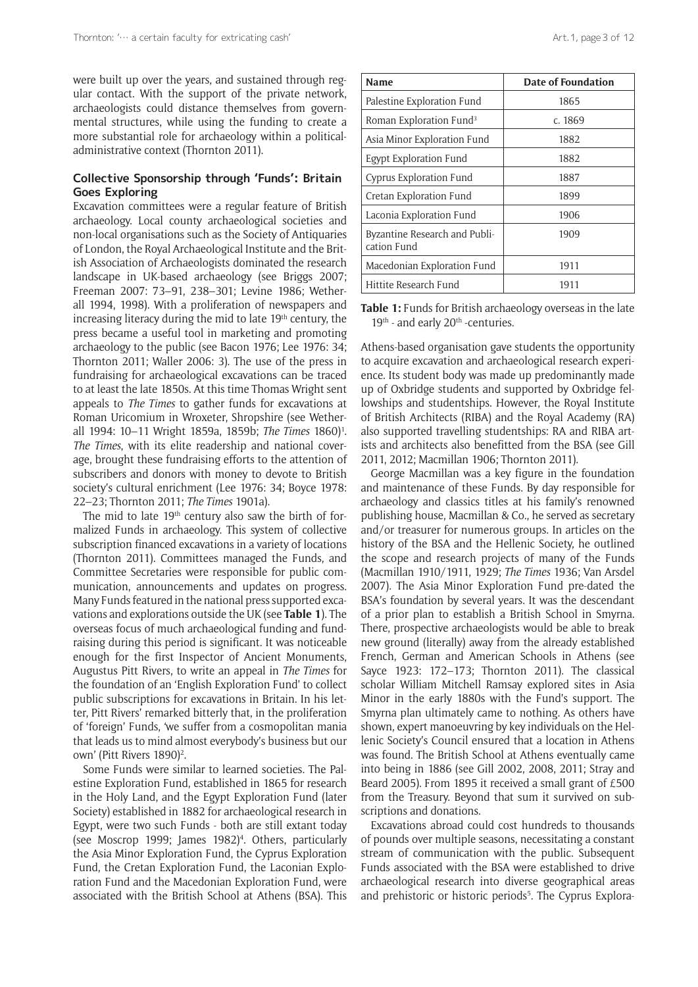were built up over the years, and sustained through regular contact. With the support of the private network, archaeologists could distance themselves from governmental structures, while using the funding to create a more substantial role for archaeology within a politicaladministrative context (Thornton 2011).

#### **Collective Sponsorship through 'Funds': Britain Goes Exploring**

Excavation committees were a regular feature of British archaeology. Local county archaeological societies and non-local organisations such as the Society of Antiquaries of London, the Royal Archaeological Institute and the British Association of Archaeologists dominated the research landscape in UK-based archaeology (see Briggs 2007; Freeman 2007: 73–91, 238–301; Levine 1986; Wetherall 1994, 1998). With a proliferation of newspapers and increasing literacy during the mid to late 19<sup>th</sup> century, the press became a useful tool in marketing and promoting archaeology to the public (see Bacon 1976; Lee 1976: 34; Thornton 2011; Waller 2006: 3). The use of the press in fundraising for archaeological excavations can be traced to at least the late 1850s. At this time Thomas Wright sent appeals to *The Times* to gather funds for excavations at Roman Uricomium in Wroxeter, Shropshire (see Wetherall 1994: 10–11 Wright 1859a, 1859b; *The Times* 1860)<sup>1</sup>. *The Times*, with its elite readership and national coverage, brought these fundraising efforts to the attention of subscribers and donors with money to devote to British society's cultural enrichment (Lee 1976: 34; Boyce 1978: 22–23; Thornton 2011; *The Times* 1901a).

The mid to late  $19<sup>th</sup>$  century also saw the birth of formalized Funds in archaeology. This system of collective subscription financed excavations in a variety of locations (Thornton 2011). Committees managed the Funds, and Committee Secretaries were responsible for public communication, announcements and updates on progress. Many Funds featured in the national press supported excavations and explorations outside the UK (see **Table 1**). The overseas focus of much archaeological funding and fundraising during this period is significant. It was noticeable enough for the first Inspector of Ancient Monuments, Augustus Pitt Rivers, to write an appeal in *The Times* for the foundation of an 'English Exploration Fund' to collect public subscriptions for excavations in Britain. In his letter, Pitt Rivers' remarked bitterly that, in the proliferation of 'foreign' Funds, 'we suffer from a cosmopolitan mania that leads us to mind almost everybody's business but our own' (Pitt Rivers 1890)<sup>2</sup>.

Some Funds were similar to learned societies. The Palestine Exploration Fund, established in 1865 for research in the Holy Land, and the Egypt Exploration Fund (later Society) established in 1882 for archaeological research in Egypt, were two such Funds - both are still extant today (see Moscrop 1999; James 1982)<sup>4</sup>. Others, particularly the Asia Minor Exploration Fund, the Cyprus Exploration Fund, the Cretan Exploration Fund, the Laconian Exploration Fund and the Macedonian Exploration Fund, were associated with the British School at Athens (BSA). This

| <b>Name</b>                                  | <b>Date of Foundation</b> |
|----------------------------------------------|---------------------------|
| Palestine Exploration Fund                   | 1865                      |
| Roman Exploration Fund <sup>3</sup>          | c. 1869                   |
| Asia Minor Exploration Fund                  | 1882                      |
| Egypt Exploration Fund                       | 1882                      |
| Cyprus Exploration Fund                      | 1887                      |
| Cretan Exploration Fund                      | 1899                      |
| Laconia Exploration Fund                     | 1906                      |
| Byzantine Research and Publi-<br>cation Fund | 1909                      |
| Macedonian Exploration Fund                  | 1911                      |

**Table 1:** Funds for British archaeology overseas in the late  $19<sup>th</sup>$  - and early  $20<sup>th</sup>$  -centuries.

Hittite Research Fund 1911

Athens-based organisation gave students the opportunity to acquire excavation and archaeological research experience. Its student body was made up predominantly made up of Oxbridge students and supported by Oxbridge fellowships and studentships. However, the Royal Institute of British Architects (RIBA) and the Royal Academy (RA) also supported travelling studentships: RA and RIBA artists and architects also benefitted from the BSA (see Gill 2011, 2012; Macmillan 1906; Thornton 2011).

George Macmillan was a key figure in the foundation and maintenance of these Funds. By day responsible for archaeology and classics titles at his family's renowned publishing house, Macmillan & Co., he served as secretary and/or treasurer for numerous groups. In articles on the history of the BSA and the Hellenic Society, he outlined the scope and research projects of many of the Funds (Macmillan 1910/1911, 1929; *The Times* 1936; Van Arsdel 2007). The Asia Minor Exploration Fund pre-dated the BSA's foundation by several years. It was the descendant of a prior plan to establish a British School in Smyrna. There, prospective archaeologists would be able to break new ground (literally) away from the already established French, German and American Schools in Athens (see Sayce 1923: 172–173; Thornton 2011). The classical scholar William Mitchell Ramsay explored sites in Asia Minor in the early 1880s with the Fund's support. The Smyrna plan ultimately came to nothing. As others have shown, expert manoeuvring by key individuals on the Hellenic Society's Council ensured that a location in Athens was found. The British School at Athens eventually came into being in 1886 (see Gill 2002, 2008, 2011; Stray and Beard 2005). From 1895 it received a small grant of £500 from the Treasury. Beyond that sum it survived on subscriptions and donations.

Excavations abroad could cost hundreds to thousands of pounds over multiple seasons, necessitating a constant stream of communication with the public. Subsequent Funds associated with the BSA were established to drive archaeological research into diverse geographical areas and prehistoric or historic periods<sup>5</sup>. The Cyprus Explora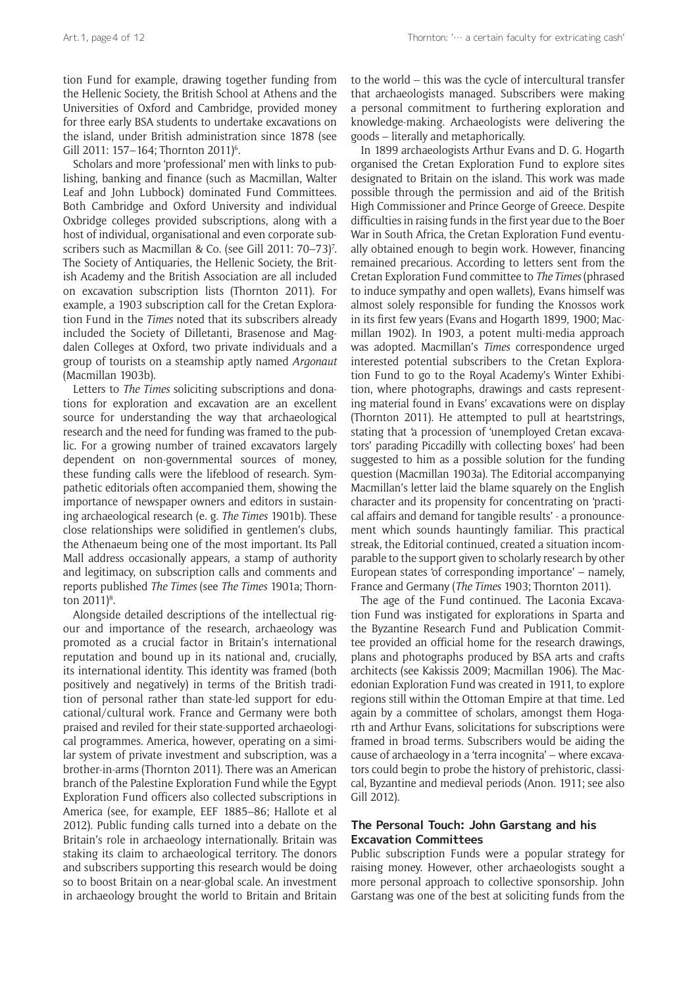tion Fund for example, drawing together funding from the Hellenic Society, the British School at Athens and the Universities of Oxford and Cambridge, provided money for three early BSA students to undertake excavations on the island, under British administration since 1878 (see Gill 2011: 157–164; Thornton 2011)<sup>6</sup>.

Scholars and more 'professional' men with links to publishing, banking and finance (such as Macmillan, Walter Leaf and John Lubbock) dominated Fund Committees. Both Cambridge and Oxford University and individual Oxbridge colleges provided subscriptions, along with a host of individual, organisational and even corporate subscribers such as Macmillan & Co. (see Gill 2011: 70–73)<sup>7</sup>. The Society of Antiquaries, the Hellenic Society, the British Academy and the British Association are all included on excavation subscription lists (Thornton 2011). For example, a 1903 subscription call for the Cretan Exploration Fund in the *Times* noted that its subscribers already included the Society of Dilletanti, Brasenose and Magdalen Colleges at Oxford, two private individuals and a group of tourists on a steamship aptly named *Argonaut* (Macmillan 1903b).

Letters to *The Times* soliciting subscriptions and donations for exploration and excavation are an excellent source for understanding the way that archaeological research and the need for funding was framed to the public. For a growing number of trained excavators largely dependent on non-governmental sources of money, these funding calls were the lifeblood of research. Sympathetic editorials often accompanied them, showing the importance of newspaper owners and editors in sustaining archaeological research (e. g. *The Times* 1901b). These close relationships were solidified in gentlemen's clubs, the Athenaeum being one of the most important. Its Pall Mall address occasionally appears, a stamp of authority and legitimacy, on subscription calls and comments and reports published *The Times* (see *The Times* 1901a; Thornton 2011)<sup>8</sup>.

Alongside detailed descriptions of the intellectual rigour and importance of the research, archaeology was promoted as a crucial factor in Britain's international reputation and bound up in its national and, crucially, its international identity. This identity was framed (both positively and negatively) in terms of the British tradition of personal rather than state-led support for educational/cultural work. France and Germany were both praised and reviled for their state-supported archaeological programmes. America, however, operating on a similar system of private investment and subscription, was a brother-in-arms (Thornton 2011). There was an American branch of the Palestine Exploration Fund while the Egypt Exploration Fund officers also collected subscriptions in America (see, for example, EEF 1885–86; Hallote et al 2012). Public funding calls turned into a debate on the Britain's role in archaeology internationally. Britain was staking its claim to archaeological territory. The donors and subscribers supporting this research would be doing so to boost Britain on a near-global scale. An investment in archaeology brought the world to Britain and Britain to the world – this was the cycle of intercultural transfer that archaeologists managed. Subscribers were making a personal commitment to furthering exploration and knowledge-making. Archaeologists were delivering the goods – literally and metaphorically.

In 1899 archaeologists Arthur Evans and D. G. Hogarth organised the Cretan Exploration Fund to explore sites designated to Britain on the island. This work was made possible through the permission and aid of the British High Commissioner and Prince George of Greece. Despite difficulties in raising funds in the first year due to the Boer War in South Africa, the Cretan Exploration Fund eventually obtained enough to begin work. However, financing remained precarious. According to letters sent from the Cretan Exploration Fund committee to *The Times* (phrased to induce sympathy and open wallets), Evans himself was almost solely responsible for funding the Knossos work in its first few years (Evans and Hogarth 1899, 1900; Macmillan 1902). In 1903, a potent multi-media approach was adopted. Macmillan's *Times* correspondence urged interested potential subscribers to the Cretan Exploration Fund to go to the Royal Academy's Winter Exhibition, where photographs, drawings and casts representing material found in Evans' excavations were on display (Thornton 2011). He attempted to pull at heartstrings, stating that 'a procession of 'unemployed Cretan excavators' parading Piccadilly with collecting boxes' had been suggested to him as a possible solution for the funding question (Macmillan 1903a). The Editorial accompanying Macmillan's letter laid the blame squarely on the English character and its propensity for concentrating on 'practical affairs and demand for tangible results' - a pronouncement which sounds hauntingly familiar. This practical streak, the Editorial continued, created a situation incomparable to the support given to scholarly research by other European states 'of corresponding importance' – namely, France and Germany (*The Times* 1903; Thornton 2011).

The age of the Fund continued. The Laconia Excavation Fund was instigated for explorations in Sparta and the Byzantine Research Fund and Publication Committee provided an official home for the research drawings, plans and photographs produced by BSA arts and crafts architects (see Kakissis 2009; Macmillan 1906). The Macedonian Exploration Fund was created in 1911, to explore regions still within the Ottoman Empire at that time. Led again by a committee of scholars, amongst them Hogarth and Arthur Evans, solicitations for subscriptions were framed in broad terms. Subscribers would be aiding the cause of archaeology in a 'terra incognita' – where excavators could begin to probe the history of prehistoric, classical, Byzantine and medieval periods (Anon. 1911; see also Gill 2012).

## **The Personal Touch: John Garstang and his Excavation Committees**

Public subscription Funds were a popular strategy for raising money. However, other archaeologists sought a more personal approach to collective sponsorship. John Garstang was one of the best at soliciting funds from the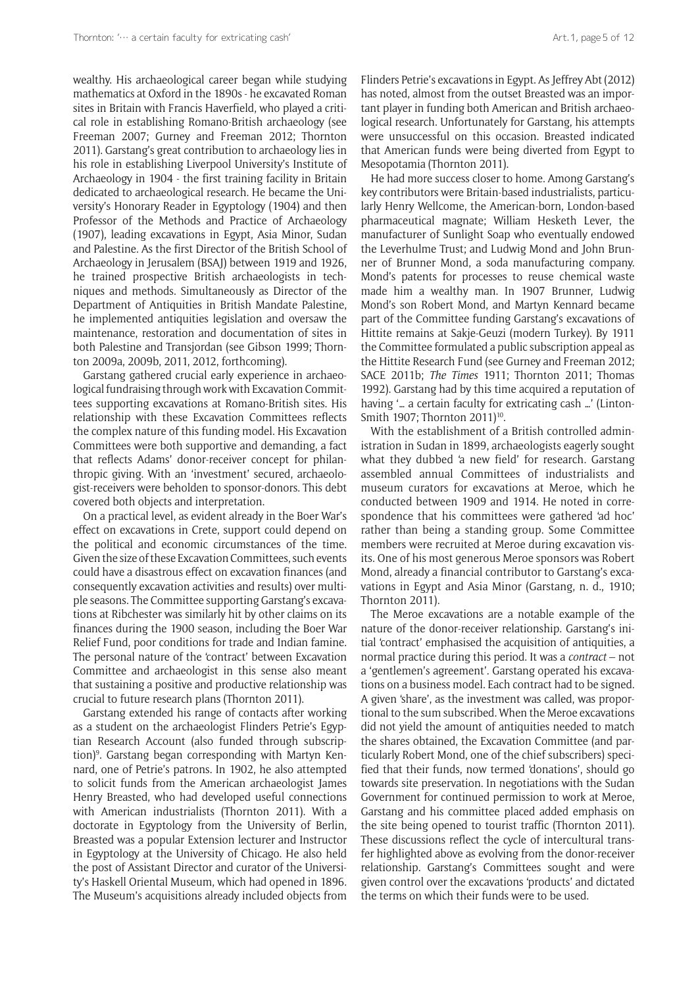wealthy. His archaeological career began while studying mathematics at Oxford in the 1890s - he excavated Roman sites in Britain with Francis Haverfield, who played a critical role in establishing Romano-British archaeology (see Freeman 2007; Gurney and Freeman 2012; Thornton 2011). Garstang's great contribution to archaeology lies in his role in establishing Liverpool University's Institute of Archaeology in 1904 - the first training facility in Britain dedicated to archaeological research. He became the University's Honorary Reader in Egyptology (1904) and then Professor of the Methods and Practice of Archaeology (1907), leading excavations in Egypt, Asia Minor, Sudan and Palestine. As the first Director of the British School of Archaeology in Jerusalem (BSAJ) between 1919 and 1926, he trained prospective British archaeologists in techniques and methods. Simultaneously as Director of the Department of Antiquities in British Mandate Palestine, he implemented antiquities legislation and oversaw the maintenance, restoration and documentation of sites in both Palestine and Transjordan (see Gibson 1999; Thornton 2009a, 2009b, 2011, 2012, forthcoming).

Garstang gathered crucial early experience in archaeological fundraising through work with Excavation Committees supporting excavations at Romano-British sites. His relationship with these Excavation Committees reflects the complex nature of this funding model. His Excavation Committees were both supportive and demanding, a fact that reflects Adams' donor-receiver concept for philanthropic giving. With an 'investment' secured, archaeologist-receivers were beholden to sponsor-donors. This debt covered both objects and interpretation.

On a practical level, as evident already in the Boer War's effect on excavations in Crete, support could depend on the political and economic circumstances of the time. Given the size of these Excavation Committees, such events could have a disastrous effect on excavation finances (and consequently excavation activities and results) over multiple seasons. The Committee supporting Garstang's excavations at Ribchester was similarly hit by other claims on its finances during the 1900 season, including the Boer War Relief Fund, poor conditions for trade and Indian famine. The personal nature of the 'contract' between Excavation Committee and archaeologist in this sense also meant that sustaining a positive and productive relationship was crucial to future research plans (Thornton 2011).

Garstang extended his range of contacts after working as a student on the archaeologist Flinders Petrie's Egyptian Research Account (also funded through subscription)<sup>9</sup>. Garstang began corresponding with Martyn Kennard, one of Petrie's patrons. In 1902, he also attempted to solicit funds from the American archaeologist James Henry Breasted, who had developed useful connections with American industrialists (Thornton 2011). With a doctorate in Egyptology from the University of Berlin, Breasted was a popular Extension lecturer and Instructor in Egyptology at the University of Chicago. He also held the post of Assistant Director and curator of the University's Haskell Oriental Museum, which had opened in 1896. The Museum's acquisitions already included objects from

Flinders Petrie's excavations in Egypt. As Jeffrey Abt (2012) has noted, almost from the outset Breasted was an important player in funding both American and British archaeological research. Unfortunately for Garstang, his attempts were unsuccessful on this occasion. Breasted indicated that American funds were being diverted from Egypt to Mesopotamia (Thornton 2011).

He had more success closer to home. Among Garstang's key contributors were Britain-based industrialists, particularly Henry Wellcome, the American-born, London-based pharmaceutical magnate; William Hesketh Lever, the manufacturer of Sunlight Soap who eventually endowed the Leverhulme Trust; and Ludwig Mond and John Brunner of Brunner Mond, a soda manufacturing company. Mond's patents for processes to reuse chemical waste made him a wealthy man. In 1907 Brunner, Ludwig Mond's son Robert Mond, and Martyn Kennard became part of the Committee funding Garstang's excavations of Hittite remains at Sakje-Geuzi (modern Turkey). By 1911 the Committee formulated a public subscription appeal as the Hittite Research Fund (see Gurney and Freeman 2012; SACE 2011b; *The Times* 1911; Thornton 2011; Thomas 1992). Garstang had by this time acquired a reputation of having '… a certain faculty for extricating cash …' (Linton-Smith 1907; Thornton 2011)<sup>10</sup>.

With the establishment of a British controlled administration in Sudan in 1899, archaeologists eagerly sought what they dubbed 'a new field' for research. Garstang assembled annual Committees of industrialists and museum curators for excavations at Meroe, which he conducted between 1909 and 1914. He noted in correspondence that his committees were gathered 'ad hoc' rather than being a standing group. Some Committee members were recruited at Meroe during excavation visits. One of his most generous Meroe sponsors was Robert Mond, already a financial contributor to Garstang's excavations in Egypt and Asia Minor (Garstang, n. d., 1910; Thornton 2011).

The Meroe excavations are a notable example of the nature of the donor-receiver relationship. Garstang's initial 'contract' emphasised the acquisition of antiquities, a normal practice during this period. It was a *contract* – not a 'gentlemen's agreement'. Garstang operated his excavations on a business model. Each contract had to be signed. A given 'share', as the investment was called, was proportional to the sum subscribed. When the Meroe excavations did not yield the amount of antiquities needed to match the shares obtained, the Excavation Committee (and particularly Robert Mond, one of the chief subscribers) specified that their funds, now termed 'donations', should go towards site preservation. In negotiations with the Sudan Government for continued permission to work at Meroe, Garstang and his committee placed added emphasis on the site being opened to tourist traffic (Thornton 2011). These discussions reflect the cycle of intercultural transfer highlighted above as evolving from the donor-receiver relationship. Garstang's Committees sought and were given control over the excavations 'products' and dictated the terms on which their funds were to be used.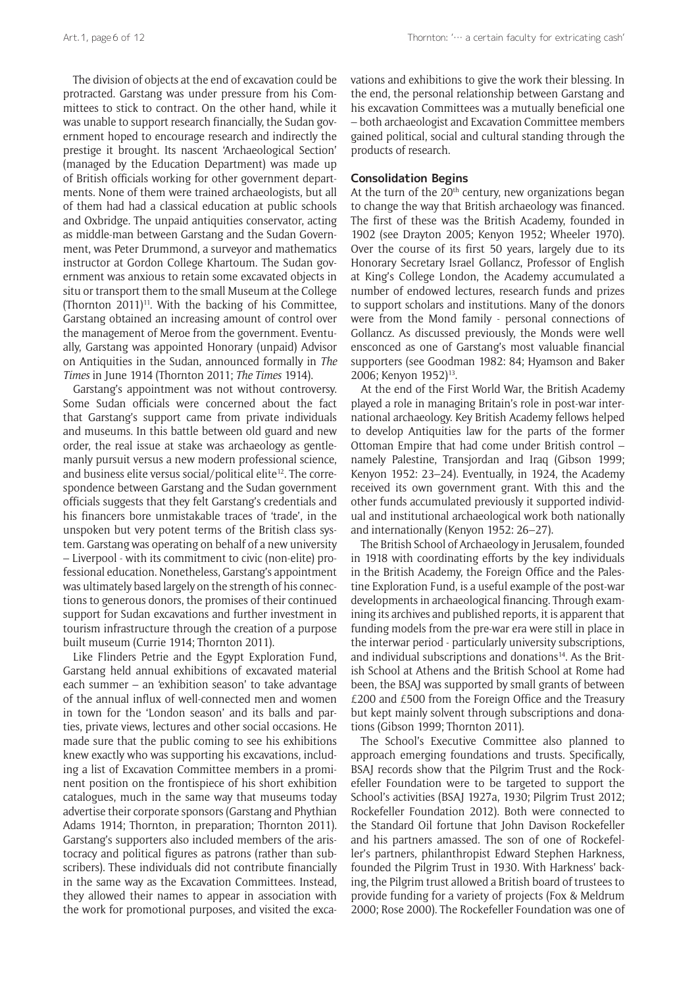The division of objects at the end of excavation could be protracted. Garstang was under pressure from his Committees to stick to contract. On the other hand, while it was unable to support research financially, the Sudan government hoped to encourage research and indirectly the prestige it brought. Its nascent 'Archaeological Section' (managed by the Education Department) was made up of British officials working for other government departments. None of them were trained archaeologists, but all of them had had a classical education at public schools and Oxbridge. The unpaid antiquities conservator, acting as middle-man between Garstang and the Sudan Government, was Peter Drummond, a surveyor and mathematics instructor at Gordon College Khartoum. The Sudan government was anxious to retain some excavated objects in situ or transport them to the small Museum at the College (Thornton  $2011$ <sup>11</sup>. With the backing of his Committee, Garstang obtained an increasing amount of control over the management of Meroe from the government. Eventually, Garstang was appointed Honorary (unpaid) Advisor on Antiquities in the Sudan, announced formally in *The Times* in June 1914 (Thornton 2011; *The Times* 1914).

Garstang's appointment was not without controversy. Some Sudan officials were concerned about the fact that Garstang's support came from private individuals and museums. In this battle between old guard and new order, the real issue at stake was archaeology as gentlemanly pursuit versus a new modern professional science, and business elite versus social/political elite<sup>12</sup>. The correspondence between Garstang and the Sudan government officials suggests that they felt Garstang's credentials and his financers bore unmistakable traces of 'trade', in the unspoken but very potent terms of the British class system. Garstang was operating on behalf of a new university – Liverpool - with its commitment to civic (non-elite) professional education. Nonetheless, Garstang's appointment was ultimately based largely on the strength of his connections to generous donors, the promises of their continued support for Sudan excavations and further investment in tourism infrastructure through the creation of a purpose built museum (Currie 1914; Thornton 2011).

Like Flinders Petrie and the Egypt Exploration Fund, Garstang held annual exhibitions of excavated material each summer – an 'exhibition season' to take advantage of the annual influx of well-connected men and women in town for the 'London season' and its balls and parties, private views, lectures and other social occasions. He made sure that the public coming to see his exhibitions knew exactly who was supporting his excavations, including a list of Excavation Committee members in a prominent position on the frontispiece of his short exhibition catalogues, much in the same way that museums today advertise their corporate sponsors (Garstang and Phythian Adams 1914; Thornton, in preparation; Thornton 2011). Garstang's supporters also included members of the aristocracy and political figures as patrons (rather than subscribers). These individuals did not contribute financially in the same way as the Excavation Committees. Instead, they allowed their names to appear in association with the work for promotional purposes, and visited the excavations and exhibitions to give the work their blessing. In the end, the personal relationship between Garstang and his excavation Committees was a mutually beneficial one – both archaeologist and Excavation Committee members gained political, social and cultural standing through the products of research.

#### **Consolidation Begins**

At the turn of the  $20<sup>th</sup>$  century, new organizations began to change the way that British archaeology was financed. The first of these was the British Academy, founded in 1902 (see Drayton 2005; Kenyon 1952; Wheeler 1970). Over the course of its first 50 years, largely due to its Honorary Secretary Israel Gollancz, Professor of English at King's College London, the Academy accumulated a number of endowed lectures, research funds and prizes to support scholars and institutions. Many of the donors were from the Mond family - personal connections of Gollancz. As discussed previously, the Monds were well ensconced as one of Garstang's most valuable financial supporters (see Goodman 1982: 84; Hyamson and Baker 2006; Kenyon 1952)<sup>13</sup>.

At the end of the First World War, the British Academy played a role in managing Britain's role in post-war international archaeology. Key British Academy fellows helped to develop Antiquities law for the parts of the former Ottoman Empire that had come under British control – namely Palestine, Transjordan and Iraq (Gibson 1999; Kenyon 1952: 23–24). Eventually, in 1924, the Academy received its own government grant. With this and the other funds accumulated previously it supported individual and institutional archaeological work both nationally and internationally (Kenyon 1952: 26–27).

The British School of Archaeology in Jerusalem, founded in 1918 with coordinating efforts by the key individuals in the British Academy, the Foreign Office and the Palestine Exploration Fund, is a useful example of the post-war developments in archaeological financing. Through examining its archives and published reports, it is apparent that funding models from the pre-war era were still in place in the interwar period - particularly university subscriptions, and individual subscriptions and donations<sup>14</sup>. As the British School at Athens and the British School at Rome had been, the BSAJ was supported by small grants of between £200 and £500 from the Foreign Office and the Treasury but kept mainly solvent through subscriptions and donations (Gibson 1999; Thornton 2011).

The School's Executive Committee also planned to approach emerging foundations and trusts. Specifically, BSAJ records show that the Pilgrim Trust and the Rockefeller Foundation were to be targeted to support the School's activities (BSAJ 1927a, 1930; Pilgrim Trust 2012; Rockefeller Foundation 2012). Both were connected to the Standard Oil fortune that John Davison Rockefeller and his partners amassed. The son of one of Rockefeller's partners, philanthropist Edward Stephen Harkness, founded the Pilgrim Trust in 1930. With Harkness' backing, the Pilgrim trust allowed a British board of trustees to provide funding for a variety of projects (Fox & Meldrum 2000; Rose 2000). The Rockefeller Foundation was one of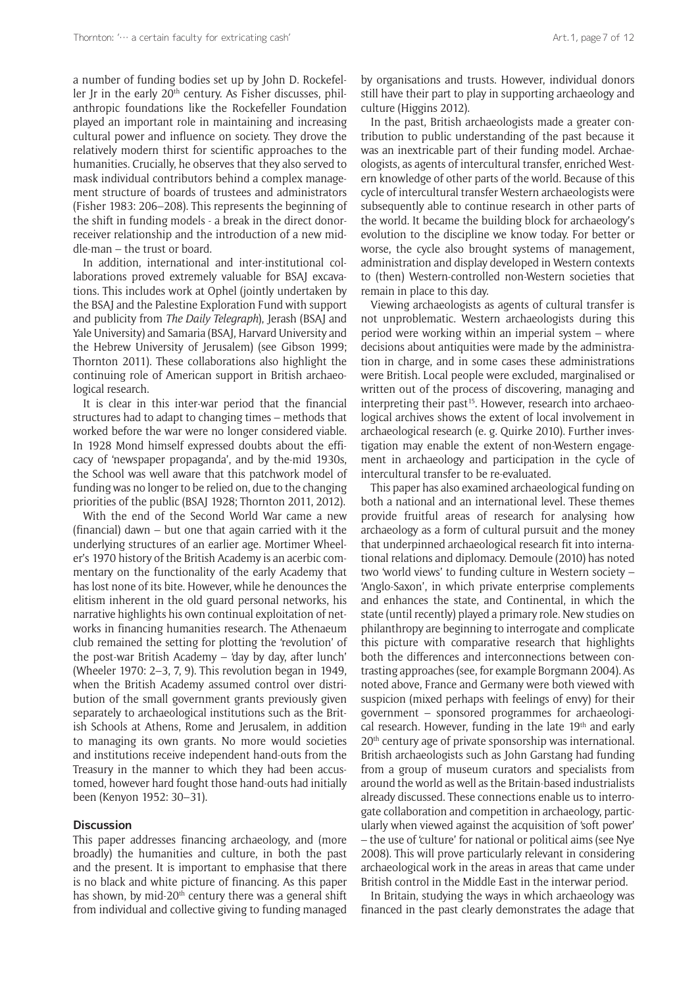a number of funding bodies set up by John D. Rockefeller Jr in the early  $20<sup>th</sup>$  century. As Fisher discusses, philanthropic foundations like the Rockefeller Foundation played an important role in maintaining and increasing cultural power and influence on society. They drove the relatively modern thirst for scientific approaches to the humanities. Crucially, he observes that they also served to mask individual contributors behind a complex management structure of boards of trustees and administrators (Fisher 1983: 206–208). This represents the beginning of the shift in funding models - a break in the direct donorreceiver relationship and the introduction of a new middle-man – the trust or board.

In addition, international and inter-institutional collaborations proved extremely valuable for BSAJ excavations. This includes work at Ophel (jointly undertaken by the BSAJ and the Palestine Exploration Fund with support and publicity from *The Daily Telegraph*), Jerash (BSAJ and Yale University) and Samaria (BSAJ, Harvard University and the Hebrew University of Jerusalem) (see Gibson 1999; Thornton 2011). These collaborations also highlight the continuing role of American support in British archaeological research.

It is clear in this inter-war period that the financial structures had to adapt to changing times – methods that worked before the war were no longer considered viable. In 1928 Mond himself expressed doubts about the efficacy of 'newspaper propaganda', and by the-mid 1930s, the School was well aware that this patchwork model of funding was no longer to be relied on, due to the changing priorities of the public (BSAJ 1928; Thornton 2011, 2012).

With the end of the Second World War came a new (financial) dawn – but one that again carried with it the underlying structures of an earlier age. Mortimer Wheeler's 1970 history of the British Academy is an acerbic commentary on the functionality of the early Academy that has lost none of its bite. However, while he denounces the elitism inherent in the old guard personal networks, his narrative highlights his own continual exploitation of networks in financing humanities research. The Athenaeum club remained the setting for plotting the 'revolution' of the post-war British Academy – 'day by day, after lunch' (Wheeler 1970: 2–3, 7, 9). This revolution began in 1949, when the British Academy assumed control over distribution of the small government grants previously given separately to archaeological institutions such as the British Schools at Athens, Rome and Jerusalem, in addition to managing its own grants. No more would societies and institutions receive independent hand-outs from the Treasury in the manner to which they had been accustomed, however hard fought those hand-outs had initially been (Kenyon 1952: 30–31).

#### **Discussion**

This paper addresses financing archaeology, and (more broadly) the humanities and culture, in both the past and the present. It is important to emphasise that there is no black and white picture of financing. As this paper has shown, by mid-20<sup>th</sup> century there was a general shift from individual and collective giving to funding managed

by organisations and trusts. However, individual donors still have their part to play in supporting archaeology and culture (Higgins 2012).

In the past, British archaeologists made a greater contribution to public understanding of the past because it was an inextricable part of their funding model. Archaeologists, as agents of intercultural transfer, enriched Western knowledge of other parts of the world. Because of this cycle of intercultural transfer Western archaeologists were subsequently able to continue research in other parts of the world. It became the building block for archaeology's evolution to the discipline we know today. For better or worse, the cycle also brought systems of management, administration and display developed in Western contexts to (then) Western-controlled non-Western societies that remain in place to this day.

Viewing archaeologists as agents of cultural transfer is not unproblematic. Western archaeologists during this period were working within an imperial system – where decisions about antiquities were made by the administration in charge, and in some cases these administrations were British. Local people were excluded, marginalised or written out of the process of discovering, managing and interpreting their past<sup>15</sup>. However, research into archaeological archives shows the extent of local involvement in archaeological research (e. g. Quirke 2010). Further investigation may enable the extent of non-Western engagement in archaeology and participation in the cycle of intercultural transfer to be re-evaluated.

This paper has also examined archaeological funding on both a national and an international level. These themes provide fruitful areas of research for analysing how archaeology as a form of cultural pursuit and the money that underpinned archaeological research fit into international relations and diplomacy. Demoule (2010) has noted two 'world views' to funding culture in Western society – 'Anglo-Saxon', in which private enterprise complements and enhances the state, and Continental, in which the state (until recently) played a primary role. New studies on philanthropy are beginning to interrogate and complicate this picture with comparative research that highlights both the differences and interconnections between contrasting approaches (see, for example Borgmann 2004). As noted above, France and Germany were both viewed with suspicion (mixed perhaps with feelings of envy) for their government – sponsored programmes for archaeological research. However, funding in the late 19<sup>th</sup> and early 20th century age of private sponsorship was international. British archaeologists such as John Garstang had funding from a group of museum curators and specialists from around the world as well as the Britain-based industrialists already discussed. These connections enable us to interrogate collaboration and competition in archaeology, particularly when viewed against the acquisition of 'soft power' – the use of 'culture' for national or political aims (see Nye 2008). This will prove particularly relevant in considering archaeological work in the areas in areas that came under British control in the Middle East in the interwar period.

In Britain, studying the ways in which archaeology was financed in the past clearly demonstrates the adage that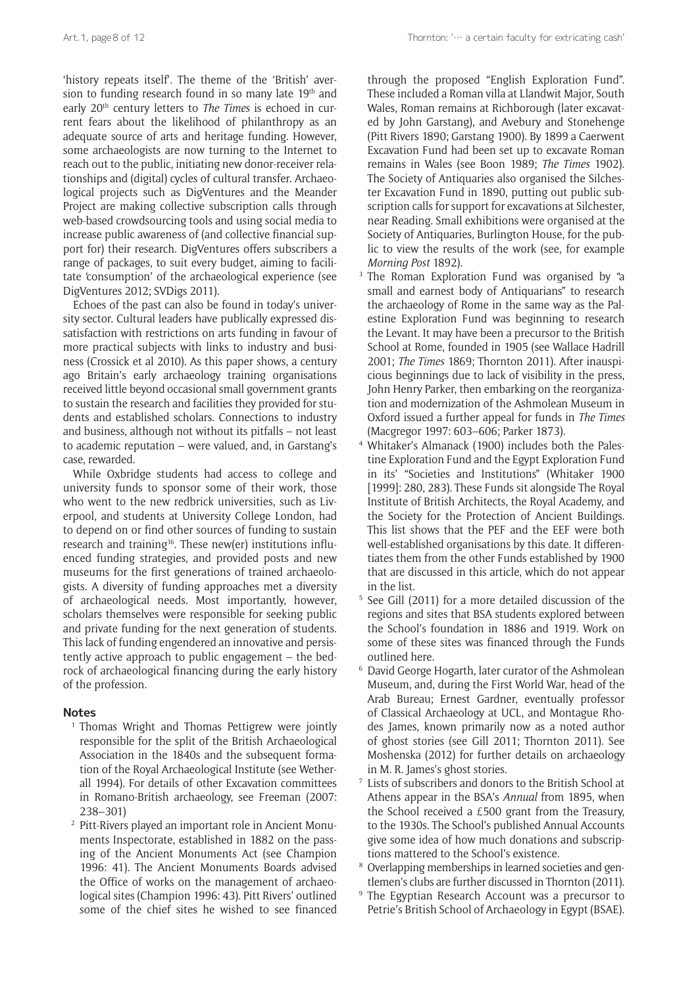'history repeats itself'. The theme of the 'British' aversion to funding research found in so many late 19<sup>th</sup> and early 20th century letters to *The Times* is echoed in current fears about the likelihood of philanthropy as an adequate source of arts and heritage funding. However, some archaeologists are now turning to the Internet to reach out to the public, initiating new donor-receiver relationships and (digital) cycles of cultural transfer. Archaeological projects such as DigVentures and the Meander Project are making collective subscription calls through web-based crowdsourcing tools and using social media to increase public awareness of (and collective financial support for) their research. DigVentures offers subscribers a range of packages, to suit every budget, aiming to facilitate 'consumption' of the archaeological experience (see DigVentures 2012; SVDigs 2011).

Echoes of the past can also be found in today's university sector. Cultural leaders have publically expressed dissatisfaction with restrictions on arts funding in favour of more practical subjects with links to industry and business (Crossick et al 2010). As this paper shows, a century ago Britain's early archaeology training organisations received little beyond occasional small government grants to sustain the research and facilities they provided for students and established scholars. Connections to industry and business, although not without its pitfalls – not least to academic reputation – were valued, and, in Garstang's case, rewarded.

While Oxbridge students had access to college and university funds to sponsor some of their work, those who went to the new redbrick universities, such as Liverpool, and students at University College London, had to depend on or find other sources of funding to sustain research and training<sup>16</sup>. These new(er) institutions influenced funding strategies, and provided posts and new museums for the first generations of trained archaeologists. A diversity of funding approaches met a diversity of archaeological needs. Most importantly, however, scholars themselves were responsible for seeking public and private funding for the next generation of students. This lack of funding engendered an innovative and persistently active approach to public engagement – the bedrock of archaeological financing during the early history of the profession.

#### **Notes**

- <sup>1</sup> Thomas Wright and Thomas Pettigrew were jointly responsible for the split of the British Archaeological Association in the 1840s and the subsequent formation of the Royal Archaeological Institute (see Wetherall 1994). For details of other Excavation committees in Romano-British archaeology, see Freeman (2007: 238–301)
- <sup>2</sup> Pitt-Rivers played an important role in Ancient Monuments Inspectorate, established in 1882 on the passing of the Ancient Monuments Act (see Champion 1996: 41). The Ancient Monuments Boards advised the Office of works on the management of archaeological sites (Champion 1996: 43). Pitt Rivers' outlined some of the chief sites he wished to see financed

through the proposed "English Exploration Fund". These included a Roman villa at Llandwit Major, South Wales, Roman remains at Richborough (later excavated by John Garstang), and Avebury and Stonehenge (Pitt Rivers 1890; Garstang 1900). By 1899 a Caerwent Excavation Fund had been set up to excavate Roman remains in Wales (see Boon 1989; *The Times* 1902). The Society of Antiquaries also organised the Silchester Excavation Fund in 1890, putting out public subscription calls for support for excavations at Silchester, near Reading. Small exhibitions were organised at the Society of Antiquaries, Burlington House, for the public to view the results of the work (see, for example *Morning Post* 1892).<br><sup>3</sup> The Roman Exploration Fund was organised by "a

- small and earnest body of Antiquarians" to research the archaeology of Rome in the same way as the Palestine Exploration Fund was beginning to research the Levant. It may have been a precursor to the British School at Rome, founded in 1905 (see Wallace Hadrill 2001; *The Times* 1869; Thornton 2011). After inauspicious beginnings due to lack of visibility in the press, John Henry Parker, then embarking on the reorganization and modernization of the Ashmolean Museum in Oxford issued a further appeal for funds in *The Times* (Macgregor 1997: 603–606; Parker 1873).
- <sup>4</sup> Whitaker's Almanack (1900) includes both the Palestine Exploration Fund and the Egypt Exploration Fund in its' "Societies and Institutions" (Whitaker 1900 [1999]: 280, 283). These Funds sit alongside The Royal Institute of British Architects, the Royal Academy, and the Society for the Protection of Ancient Buildings. This list shows that the PEF and the EEF were both well-established organisations by this date. It differentiates them from the other Funds established by 1900 that are discussed in this article, which do not appear in the list.
- <sup>5</sup> See Gill (2011) for a more detailed discussion of the regions and sites that BSA students explored between the School's foundation in 1886 and 1919. Work on some of these sites was financed through the Funds outlined here.
- <sup>6</sup> David George Hogarth, later curator of the Ashmolean Museum, and, during the First World War, head of the Arab Bureau; Ernest Gardner, eventually professor of Classical Archaeology at UCL, and Montague Rhodes James, known primarily now as a noted author of ghost stories (see Gill 2011; Thornton 2011). See Moshenska (2012) for further details on archaeology in M. R. James's ghost stories.
- <sup>7</sup> Lists of subscribers and donors to the British School at Athens appear in the BSA's *Annual* from 1895, when the School received a £500 grant from the Treasury, to the 1930s. The School's published Annual Accounts give some idea of how much donations and subscriptions mattered to the School's existence.
- <sup>8</sup> Overlapping memberships in learned societies and gentlemen's clubs are further discussed in Thornton (2011).
- The Egyptian Research Account was a precursor to Petrie's British School of Archaeology in Egypt (BSAE).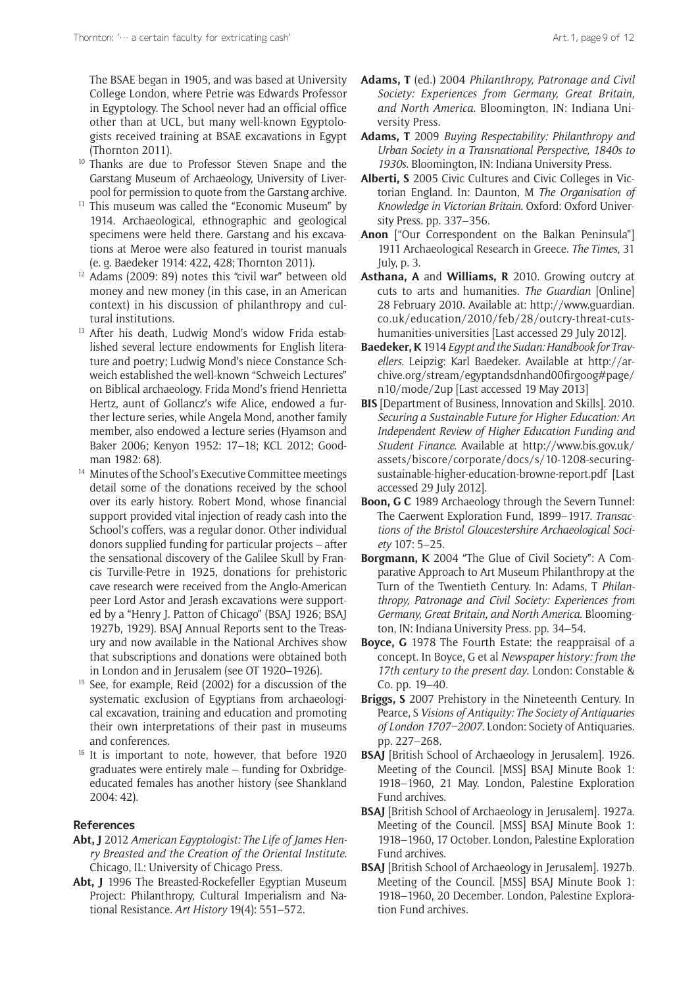The BSAE began in 1905, and was based at University College London, where Petrie was Edwards Professor in Egyptology. The School never had an official office other than at UCL, but many well-known Egyptologists received training at BSAE excavations in Egypt

- (Thornton 2011).<br><sup>10</sup> Thanks are due to Professor Steven Snape and the Garstang Museum of Archaeology, University of Liverpool for permission to quote from the Garstang archive.
- $11$  This museum was called the "Economic Museum" by 1914. Archaeological, ethnographic and geological specimens were held there. Garstang and his excavations at Meroe were also featured in tourist manuals
- (e. g. Baedeker 1914: 422, 428; Thornton 2011). 12 Adams (2009: 89) notes this "civil war" between old money and new money (in this case, in an American context) in his discussion of philanthropy and cul-
- tural institutions.<br><sup>13</sup> After his death, Ludwig Mond's widow Frida established several lecture endowments for English literature and poetry; Ludwig Mond's niece Constance Schweich established the well-known "Schweich Lectures" on Biblical archaeology. Frida Mond's friend Henrietta Hertz, aunt of Gollancz's wife Alice, endowed a further lecture series, while Angela Mond, another family member, also endowed a lecture series (Hyamson and Baker 2006; Kenyon 1952: 17–18; KCL 2012; Goodman 1982: 68).<br>Minutes of the School's Executive Committee meetings
- detail some of the donations received by the school over its early history. Robert Mond, whose financial support provided vital injection of ready cash into the School's coffers, was a regular donor. Other individual donors supplied funding for particular projects – after the sensational discovery of the Galilee Skull by Francis Turville-Petre in 1925, donations for prehistoric cave research were received from the Anglo-American peer Lord Astor and Jerash excavations were supported by a "Henry J. Patton of Chicago" (BSAJ 1926; BSAJ 1927b, 1929). BSAJ Annual Reports sent to the Treasury and now available in the National Archives show that subscriptions and donations were obtained both in London and in Jerusalem (see OT 1920–1926).
- See, for example, Reid (2002) for a discussion of the systematic exclusion of Egyptians from archaeological excavation, training and education and promoting their own interpretations of their past in museums and conferences.
- <sup>16</sup> It is important to note, however, that before 1920 graduates were entirely male – funding for Oxbridgeeducated females has another history (see Shankland 2004: 42).

## **References**

- **Abt, J** 2012 *American Egyptologist: The Life of James Henry Breasted and the Creation of the Oriental Institute*. Chicago, IL: University of Chicago Press.
- **Abt, J** 1996 The Breasted-Rockefeller Egyptian Museum Project: Philanthropy, Cultural Imperialism and National Resistance. *Art History* 19(4): 551–572.
- **Adams, T** (ed.) 2004 *Philanthropy, Patronage and Civil Society: Experiences from Germany, Great Britain, and North America*. Bloomington, IN: Indiana University Press.
- **Adams, T** 2009 *Buying Respectability: Philanthropy and Urban Society in a Transnational Perspective, 1840s to 1930s*. Bloomington, IN: Indiana University Press.
- **Alberti, S** 2005 Civic Cultures and Civic Colleges in Victorian England. In: Daunton, M *The Organisation of Knowledge in Victorian Britain*. Oxford: Oxford University Press. pp. 337–356.
- **Anon** ["Our Correspondent on the Balkan Peninsula"] 1911 Archaeological Research in Greece. *The Times*, 31 July, p. 3.
- **Asthana, A** and **Williams, R** 2010. Growing outcry at cuts to arts and humanities. *The Guardian* [Online] 28 February 2010. Available at: [http://www.guardian.](http://www.guardian.co.uk/education/2010/feb/28/outcry-threat-cuts-humanities-universities) [co.uk/education/2010/feb/28/outcry-threat-cuts](http://www.guardian.co.uk/education/2010/feb/28/outcry-threat-cuts-humanities-universities)[humanities-universities](http://www.guardian.co.uk/education/2010/feb/28/outcry-threat-cuts-humanities-universities) [Last accessed 29 July 2012].
- **Baedeker, K** 1914 *Egypt and the Sudan: Handbook for Travellers*. Leipzig: Karl Baedeker. Available at [http://ar](http://archive.org/stream/egyptandsdnhand00firgoog#page/n10/mode/2up)[chive.org/stream/egyptandsdnhand00firgoog#page/](http://archive.org/stream/egyptandsdnhand00firgoog#page/n10/mode/2up) [n10/mode/2up](http://archive.org/stream/egyptandsdnhand00firgoog#page/n10/mode/2up) [Last accessed 19 May 2013]
- **BIS** [Department of Business, Innovation and Skills]. 2010. *Securing a Sustainable Future for Higher Education: An Independent Review of Higher Education Funding and Student Finance*. Available at [http://www.bis.gov.uk/](http://www.bis.gov.uk/assets/biscore/corporate/docs/s/10-1208-securing-sustainable-higher-education-browne-report.pdf) [assets/biscore/corporate/docs/s/10-1208-securing](http://www.bis.gov.uk/assets/biscore/corporate/docs/s/10-1208-securing-sustainable-higher-education-browne-report.pdf)[sustainable-higher-education-browne-report.pdf](http://www.bis.gov.uk/assets/biscore/corporate/docs/s/10-1208-securing-sustainable-higher-education-browne-report.pdf) [Last accessed 29 July 2012].
- **Boon, G C** 1989 Archaeology through the Severn Tunnel: The Caerwent Exploration Fund, 1899–1917. *Transactions of the Bristol Gloucestershire Archaeological Society* 107: 5–25.
- **Borgmann, K** 2004 "The Glue of Civil Society": A Comparative Approach to Art Museum Philanthropy at the Turn of the Twentieth Century. In: Adams, T *Philanthropy, Patronage and Civil Society: Experiences from Germany, Great Britain, and North America*. Bloomington, IN: Indiana University Press. pp. 34–54.
- **Boyce, G** 1978 The Fourth Estate: the reappraisal of a concept. In Boyce, G et al *Newspaper history: from the 17th century to the present day*. London: Constable & Co. pp. 19–40.
- **Briggs, S** 2007 Prehistory in the Nineteenth Century. In Pearce, S *Visions of Antiquity: The Society of Antiquaries of London 1707–2007*. London: Society of Antiquaries. pp. 227–268.
- **BSAJ** [British School of Archaeology in Jerusalem]. 1926. Meeting of the Council. [MSS] BSAJ Minute Book 1: 1918–1960, 21 May. London, Palestine Exploration Fund archives.
- **BSAJ** [British School of Archaeology in Jerusalem]. 1927a. Meeting of the Council. [MSS] BSAJ Minute Book 1: 1918–1960, 17 October. London, Palestine Exploration Fund archives.
- **BSAJ** [British School of Archaeology in Jerusalem]. 1927b. Meeting of the Council. [MSS] BSAJ Minute Book 1: 1918–1960, 20 December. London, Palestine Exploration Fund archives.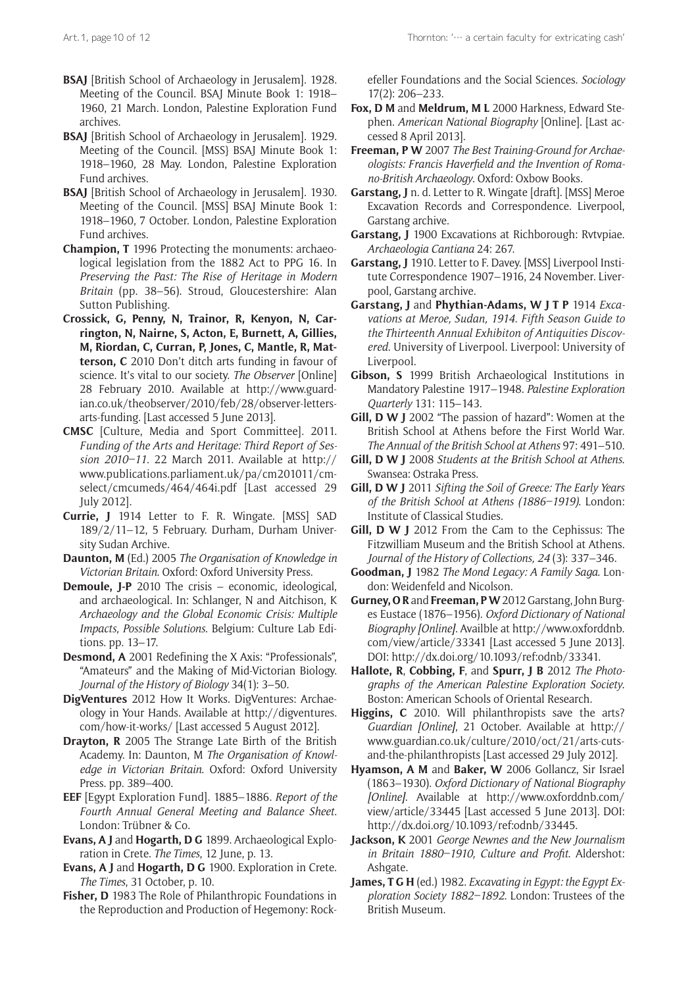- **BSAJ** [British School of Archaeology in Jerusalem]. 1928. Meeting of the Council. BSAJ Minute Book 1: 1918– 1960, 21 March. London, Palestine Exploration Fund archives.
- **BSAJ** [British School of Archaeology in Jerusalem]. 1929. Meeting of the Council. [MSS} BSAJ Minute Book 1: 1918–1960, 28 May. London, Palestine Exploration Fund archives.
- **BSAJ** [British School of Archaeology in Jerusalem]. 1930. Meeting of the Council. [MSS] BSAJ Minute Book 1: 1918–1960, 7 October. London, Palestine Exploration Fund archives.
- **Champion, T** 1996 Protecting the monuments: archaeological legislation from the 1882 Act to PPG 16. In *Preserving the Past: The Rise of Heritage in Modern Britain* (pp. 38–56). Stroud, Gloucestershire: Alan Sutton Publishing.
- **Crossick, G, Penny, N, Trainor, R, Kenyon, N, Carrington, N, Nairne, S, Acton, E, Burnett, A, Gillies, M, Riordan, C, Curran, P, Jones, C, Mantle, R, Matterson, C** 2010 Don't ditch arts funding in favour of science. It's vital to our society. *The Observer* [Online] 28 February 2010. Available at [http://www.guard](http://www.guardian.co.uk/theobserver/2010/feb/28/observer-letters-arts-funding)[ian.co.uk/theobserver/2010/feb/28/observer-letters](http://www.guardian.co.uk/theobserver/2010/feb/28/observer-letters-arts-funding)[arts-funding.](http://www.guardian.co.uk/theobserver/2010/feb/28/observer-letters-arts-funding) [Last accessed 5 June 2013].
- **CMSC** [Culture, Media and Sport Committee]. 2011. *Funding of the Arts and Heritage: Third Report of Session 2010–11*. 22 March 2011. Available at [http://](http://www.publications.parliament.uk/pa/cm201011/cmselect/cmcumeds/464/464i.pdf) [www.publications.parliament.uk/pa/cm201011/cm](http://www.publications.parliament.uk/pa/cm201011/cmselect/cmcumeds/464/464i.pdf)[select/cmcumeds/464/464i.pdf](http://www.publications.parliament.uk/pa/cm201011/cmselect/cmcumeds/464/464i.pdf) [Last accessed 29 July 2012].
- **Currie, J** 1914 Letter to F. R. Wingate. [MSS] SAD 189/2/11–12, 5 February. Durham, Durham University Sudan Archive.
- **Daunton, M** (Ed.) 2005 *The Organisation of Knowledge in Victorian Britain*. Oxford: Oxford University Press.
- **Demoule, J-P** 2010 The crisis economic, ideological, and archaeological. In: Schlanger, N and Aitchison, K *Archaeology and the Global Economic Crisis: Multiple Impacts, Possible Solutions*. Belgium: Culture Lab Editions. pp. 13–17.
- **Desmond, A** 2001 Redefining the X Axis: "Professionals", "Amateurs" and the Making of Mid-Victorian Biology. *Journal of the History of Biology* 34(1): 3–50.
- **DigVentures** 2012 How It Works. DigVentures: Archaeology in Your Hands. Available at [http://digventures.](http://digventures.com/how-it-works/) [com/how-it-works/](http://digventures.com/how-it-works/) [Last accessed 5 August 2012].
- **Drayton, R** 2005 The Strange Late Birth of the British Academy. In: Daunton, M *The Organisation of Knowledge in Victorian Britain*. Oxford: Oxford University Press. pp. 389–400.
- **EEF** [Egypt Exploration Fund]. 1885–1886. *Report of the Fourth Annual General Meeting and Balance Sheet*. London: Trübner & Co.
- **Evans, A J** and **Hogarth, D G** 1899. Archaeological Exploration in Crete. *The Times*, 12 June, p. 13.
- **Evans, A J** and **Hogarth, D G** 1900. Exploration in Crete. *The Times*, 31 October, p. 10.
- **Fisher, D** 1983 The Role of Philanthropic Foundations in the Reproduction and Production of Hegemony: Rock-

efeller Foundations and the Social Sciences. *Sociology* 17(2): 206–233.

- **Fox, D M** and **Meldrum, M L** 2000 Harkness, Edward Stephen. *American National Biography* [Online]. [Last accessed 8 April 2013].
- **Freeman, P W** 2007 *The Best Training-Ground for Archaeologists: Francis Haverfield and the Invention of Romano-British Archaeology*. Oxford: Oxbow Books.
- **Garstang, J** n. d. Letter to R. Wingate [draft]. [MSS] Meroe Excavation Records and Correspondence. Liverpool, Garstang archive.
- **Garstang, J** 1900 Excavations at Richborough: Rvtvpiae. *Archaeologia Cantiana* 24: 267.
- **Garstang, J** 1910. Letter to F. Davey. [MSS] Liverpool Institute Correspondence 1907–1916, 24 November. Liverpool, Garstang archive.
- **Garstang, J** and **Phythian-Adams, W J T P** 1914 *Excavations at Meroe, Sudan, 1914. Fifth Season Guide to the Thirteenth Annual Exhibiton of Antiquities Discovered*. University of Liverpool. Liverpool: University of Liverpool.
- **Gibson, S** 1999 British Archaeological Institutions in Mandatory Palestine 1917–1948. *Palestine Exploration Quarterly* 131: 115–143.
- **Gill, D W J** 2002 "The passion of hazard": Women at the British School at Athens before the First World War. *The Annual of the British School at Athens* 97: 491–510.
- **Gill, D W J** 2008 *Students at the British School at Athens*. Swansea: Ostraka Press.
- **Gill, D W J** 2011 *Sifting the Soil of Greece: The Early Years of the British School at Athens (1886–1919)*. London: Institute of Classical Studies.
- **Gill, D W J** 2012 From the Cam to the Cephissus: The Fitzwilliam Museum and the British School at Athens. *Journal of the History of Collections, 24* (3): 337–346.
- **Goodman, J** 1982 *The Mond Legacy: A Family Saga*. London: Weidenfeld and Nicolson.
- **Gurney, O R** and **Freeman, P W** 2012 Garstang, John Burges Eustace (1876–1956). *Oxford Dictionary of National Biography [Online]*. Availble at [http://www.oxforddnb.](http://www.oxforddnb.com/view/article/33341) [com/view/article/33341](http://www.oxforddnb.com/view/article/33341) [Last accessed 5 June 2013]. DOI:<http://dx.doi.org/10.1093/ref:odnb/33341>.
- **Hallote, R**, **Cobbing, F**, and **Spurr, J B** 2012 *The Photographs of the American Palestine Exploration Society*. Boston: American Schools of Oriental Research.
- **Higgins, C** 2010. Will philanthropists save the arts? *Guardian [Online]*, 21 October. Available at [http://](http://www.guardian.co.uk/culture/2010/oct/21/arts-cuts-and-the-philanthropists) [www.guardian.co.uk/culture/2010/oct/21/arts-cuts](http://www.guardian.co.uk/culture/2010/oct/21/arts-cuts-and-the-philanthropists)[and-the-philanthropists](http://www.guardian.co.uk/culture/2010/oct/21/arts-cuts-and-the-philanthropists) [Last accessed 29 July 2012].
- **Hyamson, A M** and **Baker, W** 2006 Gollancz, Sir Israel (1863–1930). *Oxford Dictionary of National Biography [Online]*. Available at [http://www.oxforddnb.com/](http://www.oxforddnb.com/view/article/33445) [view/article/33445](http://www.oxforddnb.com/view/article/33445) [Last accessed 5 June 2013]. DOI: [http://dx.doi.org/10.1093/ref:odnb/33445.](http://dx.doi.org/10.1093/ref:odnb/33445)
- **Jackson, K** 2001 *George Newnes and the New Journalism in Britain 1880–1910, Culture and Profit*. Aldershot: Ashgate.
- **James, T G H** (ed.) 1982. *Excavating in Egypt: the Egypt Exploration Society 1882–1892*. London: Trustees of the British Museum.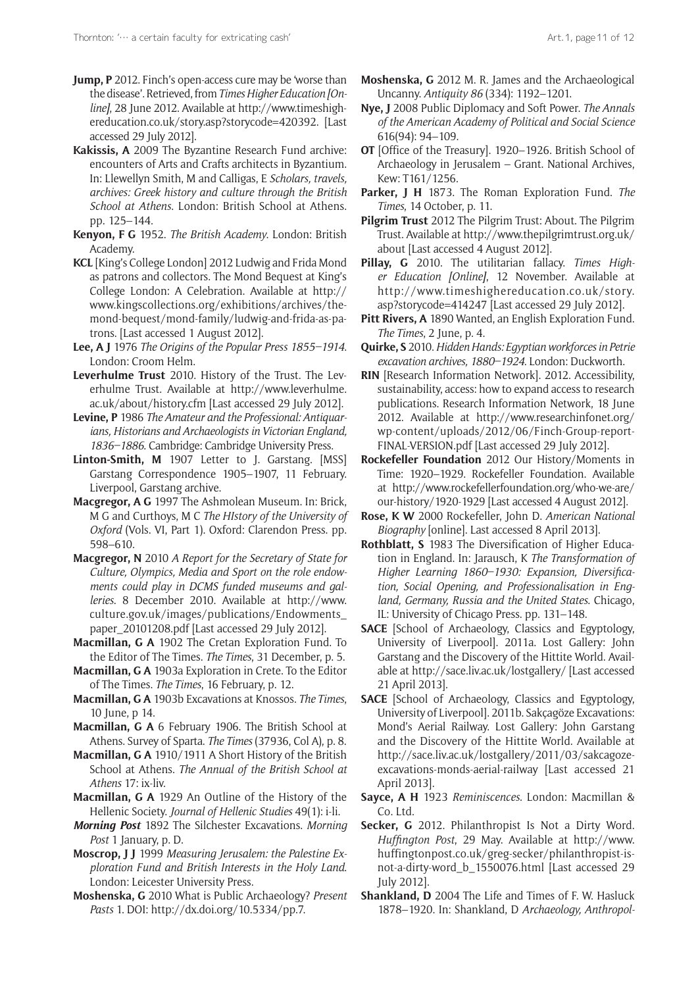- **Jump, P** 2012. Finch's open-access cure may be 'worse than the disease'. Retrieved, from *Times Higher Education [Online]*, 28 June 2012. Available at [http://www.timeshigh](http://www.timeshighereducation.co.uk/story.asp?storycode=420392)[ereducation.co.uk/story.asp?storycode=420392.](http://www.timeshighereducation.co.uk/story.asp?storycode=420392) [Last accessed 29 July 2012].
- **Kakissis, A** 2009 The Byzantine Research Fund archive: encounters of Arts and Crafts architects in Byzantium. In: Llewellyn Smith, M and Calligas, E *Scholars, travels, archives: Greek history and culture through the British School at Athens*. London: British School at Athens. pp. 125–144.
- **Kenyon, F G** 1952. *The British Academy*. London: British Academy.
- **KCL** [King's College London] 2012 Ludwig and Frida Mond as patrons and collectors. The Mond Bequest at King's College London: A Celebration. Available at [http://](http://www.kingscollections.org/exhibitions/archives/the-mond-bequest/mond-family/ludwig-and-frida-as-patrons) [www.kingscollections.org/exhibitions/archives/the](http://www.kingscollections.org/exhibitions/archives/the-mond-bequest/mond-family/ludwig-and-frida-as-patrons)[mond-bequest/mond-family/ludwig-and-frida-as-pa](http://www.kingscollections.org/exhibitions/archives/the-mond-bequest/mond-family/ludwig-and-frida-as-patrons)[trons.](http://www.kingscollections.org/exhibitions/archives/the-mond-bequest/mond-family/ludwig-and-frida-as-patrons) [Last accessed 1 August 2012].
- **Lee, A J** 1976 *The Origins of the Popular Press 1855–1914*. London: Croom Helm.
- **Leverhulme Trust** 2010. History of the Trust. The Leverhulme Trust. Available at [http://www.leverhulme.](http://www.leverhulme.ac.uk/about/history.cfm) [ac.uk/about/history.cfm](http://www.leverhulme.ac.uk/about/history.cfm) [Last accessed 29 July 2012].
- **Levine, P** 1986 *The Amateur and the Professional: Antiquarians, Historians and Archaeologists in Victorian England, 1836–1886*. Cambridge: Cambridge University Press.
- **Linton-Smith, M** 1907 Letter to J. Garstang. [MSS] Garstang Correspondence 1905–1907, 11 February. Liverpool, Garstang archive.
- **Macgregor, A G** 1997 The Ashmolean Museum. In: Brick, M G and Curthoys, M C *The HIstory of the University of Oxford* (Vols. VI, Part 1). Oxford: Clarendon Press. pp. 598–610.
- **Macgregor, N** 2010 *A Report for the Secretary of State for Culture, Olympics, Media and Sport on the role endowments could play in DCMS funded museums and galleries*. 8 December 2010. Available at [http://www.](http://www.culture.gov.uk/images/publications/Endowments_paper_20101208.pdf) [culture.gov.uk/images/publications/Endowments\\_](http://www.culture.gov.uk/images/publications/Endowments_paper_20101208.pdf) [paper\\_20101208.pdf](http://www.culture.gov.uk/images/publications/Endowments_paper_20101208.pdf) [Last accessed 29 July 2012].
- **Macmillan, G A** 1902 The Cretan Exploration Fund. To the Editor of The Times. *The Times*, 31 December, p. 5.
- **Macmillan, G A** 1903a Exploration in Crete. To the Editor of The Times. *The Times*, 16 February, p. 12.
- **Macmillan, G A** 1903b Excavations at Knossos. *The Times*, 10 June, p 14.
- **Macmillan, G A** 6 February 1906. The British School at Athens. Survey of Sparta. *The Times* (37936, Col A), p. 8.
- **Macmillan, G A** 1910/1911 A Short History of the British School at Athens. *The Annual of the British School at Athens* 17: ix-liv.
- **Macmillan, G A** 1929 An Outline of the History of the Hellenic Society. *Journal of Hellenic Studies* 49(1): i-li.
- *Morning Post* 1892 The Silchester Excavations. *Morning Post* 1 January, p. D.
- **Moscrop, J J** 1999 *Measuring Jerusalem: the Palestine Exploration Fund and British Interests in the Holy Land*. London: Leicester University Press.
- **Moshenska, G** 2010 What is Public Archaeology? *Present Pasts* 1. DOI: [http://dx.doi.org/10.5334/pp.7.](http://dx.doi.org/10.5334/pp.7)
- **Moshenska, G** 2012 M. R. James and the Archaeological Uncanny. *Antiquity 86* (334): 1192–1201.
- **Nye, J** 2008 Public Diplomacy and Soft Power. *The Annals of the American Academy of Political and Social Science* 616(94): 94–109.
- **OT** [Office of the Treasury]. 1920–1926. British School of Archaeology in Jerusalem – Grant. National Archives, Kew: T161/1256.
- **Parker, J H** 1873. The Roman Exploration Fund. *The Times*, 14 October, p. 11.
- **Pilgrim Trust** 2012 The Pilgrim Trust: About. The Pilgrim Trust. Available at [http://www.thepilgrimtrust.org.uk/](http://www.thepilgrimtrust.org.uk/about) [about](http://www.thepilgrimtrust.org.uk/about) [Last accessed 4 August 2012].
- **Pillay, G** 2010. The utilitarian fallacy. *Times Higher Education [Online]*, 12 November. Available at [http://www.timeshighereducation.co.uk/story.](http://www.timeshighereducation.co.uk/story.asp?storycode=414247) [asp?storycode=414247](http://www.timeshighereducation.co.uk/story.asp?storycode=414247) [Last accessed 29 July 2012].
- **Pitt Rivers, A** 1890 Wanted, an English Exploration Fund. *The Times*, 2 June, p. 4.
- **Quirke, S** 2010. *Hidden Hands: Egyptian workforces in Petrie excavation archives, 1880–1924*. London: Duckworth.
- **RIN** [Research Information Network]. 2012. Accessibility, sustainability, access: how to expand access to research publications. Research Information Network, 18 June 2012. Available at [http://www.researchinfonet.org/](http://www.researchinfonet.org/wp-content/uploads/2012/06/Finch-Group-report-FINAL-VERSION.pdf) [wp-content/uploads/2012/06/Finch-Group-report-](http://www.researchinfonet.org/wp-content/uploads/2012/06/Finch-Group-report-FINAL-VERSION.pdf)[FINAL-VERSION.pdf](http://www.researchinfonet.org/wp-content/uploads/2012/06/Finch-Group-report-FINAL-VERSION.pdf) [Last accessed 29 July 2012].
- **Rockefeller Foundation** 2012 Our History/Moments in Time: 1920–1929. Rockefeller Foundation. Available at [http://www.rockefellerfoundation.org/who-we-are/](http://www.rockefellerfoundation.org/who-we-are/our-history/1920-1929) [our-history/1920-1929](http://www.rockefellerfoundation.org/who-we-are/our-history/1920-1929) [Last accessed 4 August 2012].
- **Rose, K W** 2000 Rockefeller, John D. *American National Biography* [online]. Last accessed 8 April 2013].
- **Rothblatt, S** 1983 The Diversification of Higher Education in England. In: Jarausch, K *The Transformation of Higher Learning 1860–1930: Expansion, Diversification, Social Opening, and Professionalisation in England, Germany, Russia and the United States*. Chicago, IL: University of Chicago Press. pp. 131–148.
- **SACE** [School of Archaeology, Classics and Egyptology, University of Liverpool]. 2011a. Lost Gallery: John Garstang and the Discovery of the Hittite World. Available at<http://sace.liv.ac.uk/lostgallery/>[Last accessed 21 April 2013].
- **SACE** [School of Archaeology, Classics and Egyptology, University of Liverpool]. 2011b. Sakçagöze Excavations: Mond's Aerial Railway. Lost Gallery: John Garstang and the Discovery of the Hittite World. Available at [http://sace.liv.ac.uk/lostgallery/2011/03/sakcagoze](http://sace.liv.ac.uk/lostgallery/2011/03/sakcagoze-excavations-monds-aerial-railway)[excavations-monds-aerial-railway](http://sace.liv.ac.uk/lostgallery/2011/03/sakcagoze-excavations-monds-aerial-railway) [Last accessed 21 April 2013].
- **Sayce, A H** 1923 *Reminiscences*. London: Macmillan & Co. Ltd.
- **Secker, G** 2012. Philanthropist Is Not a Dirty Word. *Huffington Post*, 29 May. Available at [http://www.](http://www.huffingtonpost.co.uk/greg-secker/philanthropist-is-not-a-dirty-word_b_1550076.html) [huffingtonpost.co.uk/greg-secker/philanthropist-is](http://www.huffingtonpost.co.uk/greg-secker/philanthropist-is-not-a-dirty-word_b_1550076.html)[not-a-dirty-word\\_b\\_1550076.html](http://www.huffingtonpost.co.uk/greg-secker/philanthropist-is-not-a-dirty-word_b_1550076.html) [Last accessed 29 July 2012].
- **Shankland, D** 2004 The Life and Times of F. W. Hasluck 1878–1920. In: Shankland, D *Archaeology, Anthropol-*